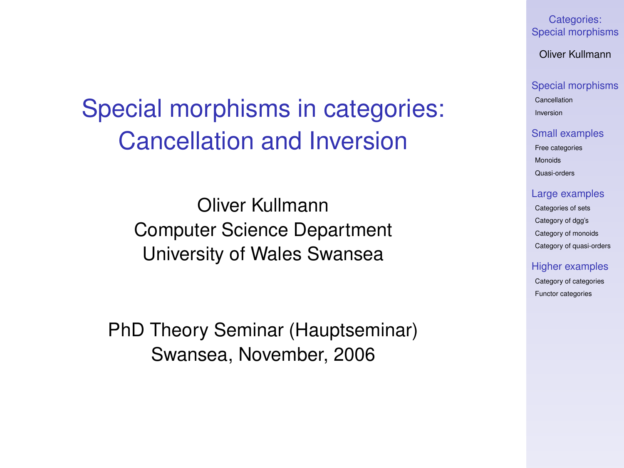Categories: [Special morphisms](#page-19-0)

Oliver Kullmann

#### [Special morphisms](#page-3-0)

[Cancellation](#page-3-0) [Inversion](#page-5-0)

#### [Small examples](#page-7-0)

[Free categories](#page-7-0) [Monoids](#page-8-0) [Quasi-orders](#page-9-0)

#### [Large examples](#page-10-0)

[Categories of sets](#page-10-0) [Category of dgg's](#page-12-0) [Category of monoids](#page-13-0) [Category of quasi-orders](#page-15-0)

#### [Higher examples](#page-16-0)

[Category of categories](#page-16-0) [Functor categories](#page-18-0)

# Special morphisms in categories: Cancellation and Inversion

Oliver Kullmann Computer Science Department University of Wales Swansea

<span id="page-0-0"></span>PhD Theory Seminar (Hauptseminar) Swansea, November, 2006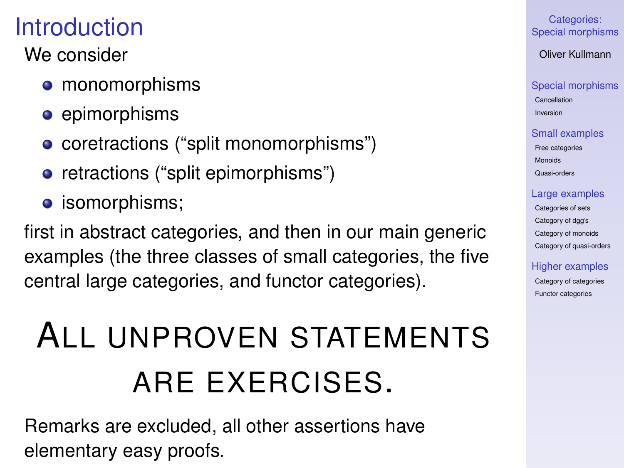# **Introduction**

### We consider

- monomorphisms
- **e** epimorphisms
- coretractions ("split monomorphisms")
- retractions ("split epimorphisms")
- **•** isomorphisms;

first in abstract categories, and then in our main generic examples (the three classes of small categories, the five central large categories, and functor categories).

# ALL UNPROVEN STATEMENTS ARE EXERCISES.

Remarks are excluded, all other assertions have elementary easy proofs.

#### Categories: [Special morphisms](#page-0-0)

Oliver Kullmann

### [Special morphisms](#page-3-0)

[Cancellation](#page-3-0) [Inversion](#page-5-0)

### [Small examples](#page-7-0)

[Free categories](#page-7-0) [Monoids](#page-8-0) [Quasi-orders](#page-9-0)

#### [Large examples](#page-10-0)

[Categories of sets](#page-10-0) [Category of dgg's](#page-12-0) [Category of monoids](#page-13-0) [Category of quasi-orders](#page-15-0)

#### [Higher examples](#page-16-0)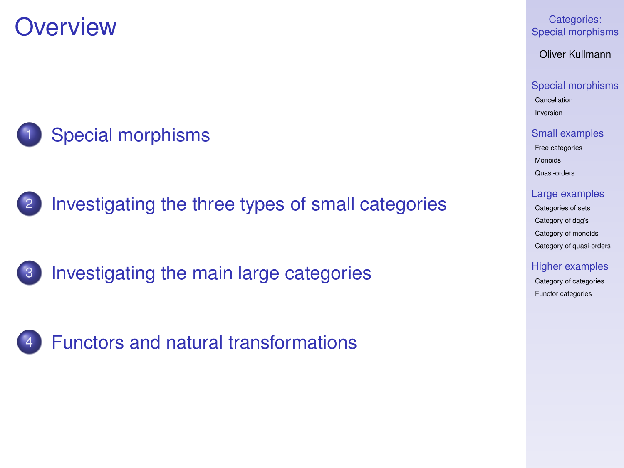**Overview** 



2 [Investigating the three types of small categories](#page-7-0)

3 [Investigating the main large categories](#page-10-0)

4 [Functors and natural transformations](#page-16-0)

Categories: [Special morphisms](#page-0-0)

Oliver Kullmann

[Special morphisms](#page-3-0) [Cancellation](#page-3-0)

[Inversion](#page-5-0)

[Small examples](#page-7-0) [Free categories](#page-7-0) [Monoids](#page-8-0) [Quasi-orders](#page-9-0)

[Large examples](#page-10-0)

[Categories of sets](#page-10-0) [Category of dgg's](#page-12-0) [Category of monoids](#page-13-0) [Category of quasi-orders](#page-15-0)

[Higher examples](#page-16-0)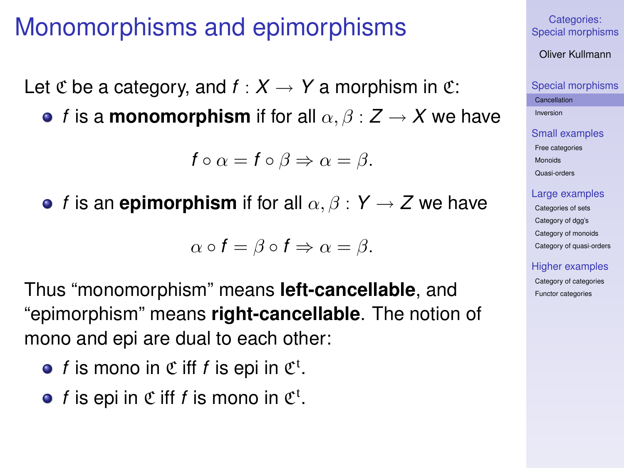### Monomorphisms and epimorphisms

Let C be a category, and  $f: X \to Y$  a morphism in C:

**•** *f* is a **monomorphism** if for all  $\alpha, \beta : Z \rightarrow X$  we have

$$
f\circ\alpha=f\circ\beta\Rightarrow\alpha=\beta.
$$

**•** *f* is an **epimorphism** if for all  $\alpha, \beta : Y \rightarrow Z$  we have

$$
\alpha \circ f = \beta \circ f \Rightarrow \alpha = \beta.
$$

Thus "monomorphism" means **left-cancellable**, and "epimorphism" means **right-cancellable**. The notion of mono and epi are dual to each other:

- *f* is mono in  $\mathfrak C$  iff *f* is epi in  $\mathfrak C^{\mathfrak t}$ .
- <span id="page-3-0"></span>*f* is epi in  $\mathfrak C$  iff *f* is mono in  $\mathfrak C^{\mathfrak t}$ .

#### Categories: [Special morphisms](#page-0-0)

Oliver Kullmann

#### [Special morphisms](#page-3-0)

**[Cancellation](#page-3-0)** [Inversion](#page-5-0)

[Small examples](#page-7-0) [Free categories](#page-7-0) [Monoids](#page-8-0) [Quasi-orders](#page-9-0)

#### [Large examples](#page-10-0)

[Categories of sets](#page-10-0) [Category of dgg's](#page-12-0) [Category of monoids](#page-13-0) [Category of quasi-orders](#page-15-0)

#### [Higher examples](#page-16-0)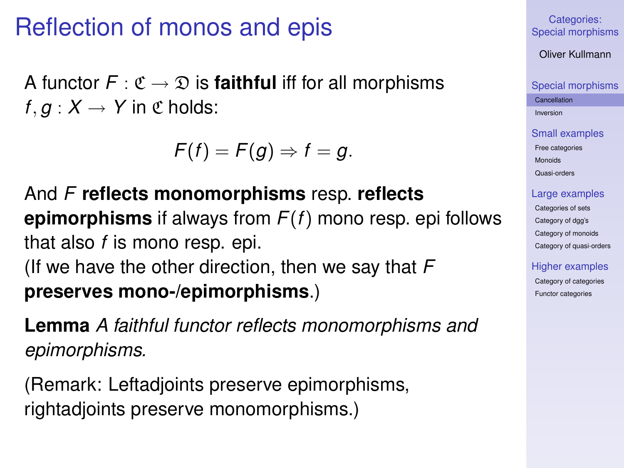### Reflection of monos and epis

A functor  $F: \mathfrak{C} \to \mathfrak{D}$  is **faithful** iff for all morphisms  $f, g: X \rightarrow Y$  in  $\mathfrak C$  holds:

$$
F(f)=F(g)\Rightarrow f=g.
$$

And *F* **reflects monomorphisms** resp. **reflects epimorphisms** if always from *F*(*f*) mono resp. epi follows that also *f* is mono resp. epi. (If we have the other direction, then we say that *F* **preserves mono-/epimorphisms**.)

**Lemma** *A faithful functor reflects monomorphisms and epimorphisms.*

(Remark: Leftadjoints preserve epimorphisms, rightadjoints preserve monomorphisms.)

Categories: [Special morphisms](#page-0-0)

Oliver Kullmann

[Special morphisms](#page-3-0)

**[Cancellation](#page-3-0)** [Inversion](#page-5-0)

[Small examples](#page-7-0) [Free categories](#page-7-0) [Monoids](#page-8-0) [Quasi-orders](#page-9-0)

#### [Large examples](#page-10-0)

[Categories of sets](#page-10-0) [Category of dgg's](#page-12-0) [Category of monoids](#page-13-0) [Category of quasi-orders](#page-15-0)

#### [Higher examples](#page-16-0)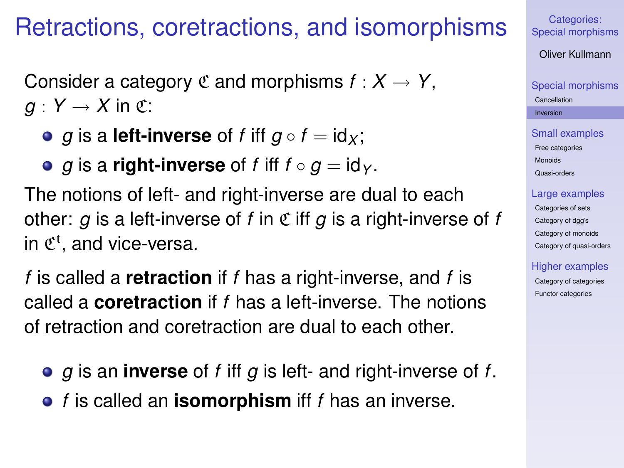### Retractions, coretractions, and isomorphisms

Consider a category  $C$  and morphisms  $f: X \to Y$ ,  $g: Y \rightarrow X$  in  $\mathfrak{C}$ :

- *g* is a **left-inverse** of *f* iff  $g \circ f = id_X$ ;
- *g* is a **right-inverse** of *f* iff  $f \circ g = id_Y$ .

The notions of left- and right-inverse are dual to each other:  $q$  is a left-inverse of  $f$  in  $\mathfrak C$  iff  $q$  is a right-inverse of  $f$ in  $\mathfrak{C}^{\mathfrak{t}}$ , and vice-versa.

*f* is called a **retraction** if *f* has a right-inverse, and *f* is called a **coretraction** if *f* has a left-inverse. The notions of retraction and coretraction are dual to each other.

- *g* is an **inverse** of *f* iff *g* is left- and right-inverse of *f*.
- <span id="page-5-0"></span>*f* is called an **isomorphism** iff *f* has an inverse.

Categories: [Special morphisms](#page-0-0)

Oliver Kullmann

[Special morphisms](#page-3-0) [Cancellation](#page-3-0) [Inversion](#page-5-0)

[Small examples](#page-7-0) [Free categories](#page-7-0) [Monoids](#page-8-0) [Quasi-orders](#page-9-0)

#### [Large examples](#page-10-0)

[Categories of sets](#page-10-0) [Category of dgg's](#page-12-0) [Category of monoids](#page-13-0) [Category of quasi-orders](#page-15-0)

#### [Higher examples](#page-16-0)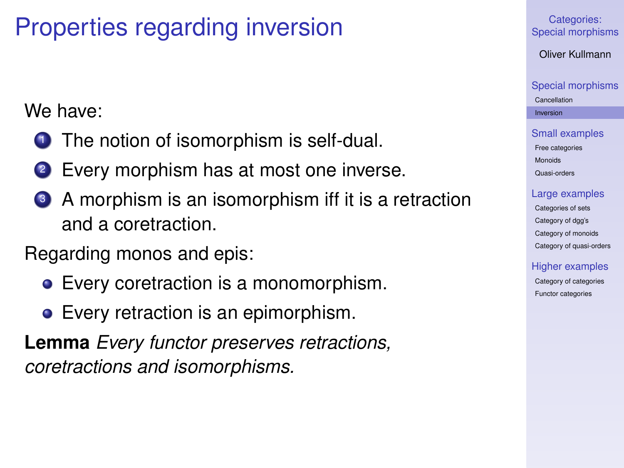# Properties regarding inversion

We have:

- **1** The notion of isomorphism is self-dual.
- Every morphism has at most one inverse.
- <sup>3</sup> A morphism is an isomorphism iff it is a retraction and a coretraction.

Regarding monos and epis:

- Every coretraction is a monomorphism.
- Every retraction is an epimorphism.

**Lemma** *Every functor preserves retractions, coretractions and isomorphisms.*

Categories: [Special morphisms](#page-0-0)

Oliver Kullmann

[Special morphisms](#page-3-0) [Cancellation](#page-3-0) [Inversion](#page-5-0)

[Small examples](#page-7-0) [Free categories](#page-7-0) [Monoids](#page-8-0) [Quasi-orders](#page-9-0)

#### [Large examples](#page-10-0)

[Categories of sets](#page-10-0) [Category of dgg's](#page-12-0) [Category of monoids](#page-13-0) [Category of quasi-orders](#page-15-0)

[Higher examples](#page-16-0)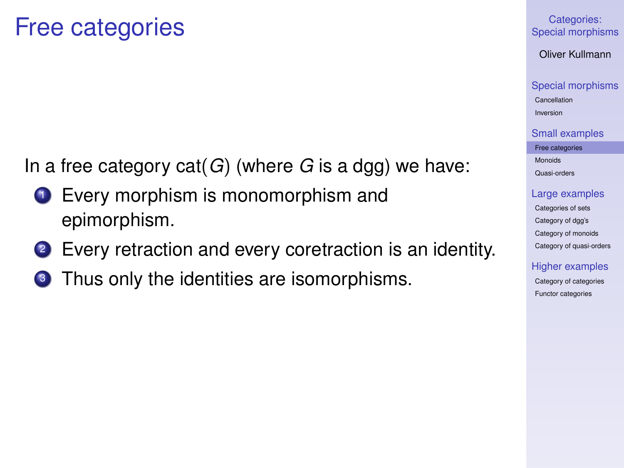### Free categories

In a free category cat(*G*) (where *G* is a dgg) we have:

- **1** Every morphism is monomorphism and epimorphism.
- 2 Every retraction and every coretraction is an identity.
- <span id="page-7-0"></span>**3** Thus only the identities are isomorphisms.

#### Categories: [Special morphisms](#page-0-0)

Oliver Kullmann

[Special morphisms](#page-3-0) [Cancellation](#page-3-0) [Inversion](#page-5-0)

[Small examples](#page-7-0)

[Free categories](#page-7-0) [Monoids](#page-8-0) [Quasi-orders](#page-9-0)

[Large examples](#page-10-0)

[Categories of sets](#page-10-0) [Category of dgg's](#page-12-0) [Category of monoids](#page-13-0) [Category of quasi-orders](#page-15-0)

[Higher examples](#page-16-0)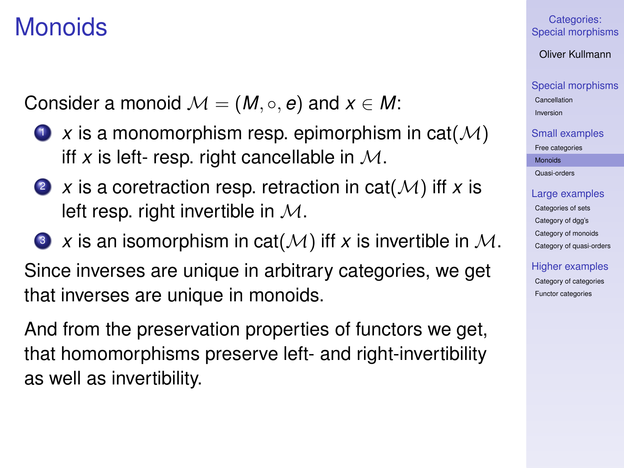### Monoids

Consider a monoid  $M = (M, \circ, e)$  and  $x \in M$ :

- $\bullet$  *x* is a monomorphism resp. epimorphism in cat( $\mathcal{M}$ ) iff x is left- resp. right cancellable in  $M$ .
- 2  $\chi$  is a coretraction resp. retraction in cat( $\mathcal{M}$ ) iff  $\chi$  is left resp. right invertible in  $M$ .
- $\bullet$  *x* is an isomorphism in cat( $\mathcal{M}$ ) iff *x* is invertible in  $\mathcal{M}$ . Since inverses are unique in arbitrary categories, we get that inverses are unique in monoids.

<span id="page-8-0"></span>And from the preservation properties of functors we get, that homomorphisms preserve left- and right-invertibility as well as invertibility.

Categories: [Special morphisms](#page-0-0)

Oliver Kullmann

[Special morphisms](#page-3-0) [Cancellation](#page-3-0)

[Inversion](#page-5-0)

[Small examples](#page-7-0)

[Free categories](#page-7-0) [Monoids](#page-8-0)

[Quasi-orders](#page-9-0)

[Large examples](#page-10-0)

[Categories of sets](#page-10-0) [Category of dgg's](#page-12-0) [Category of monoids](#page-13-0) [Category of quasi-orders](#page-15-0)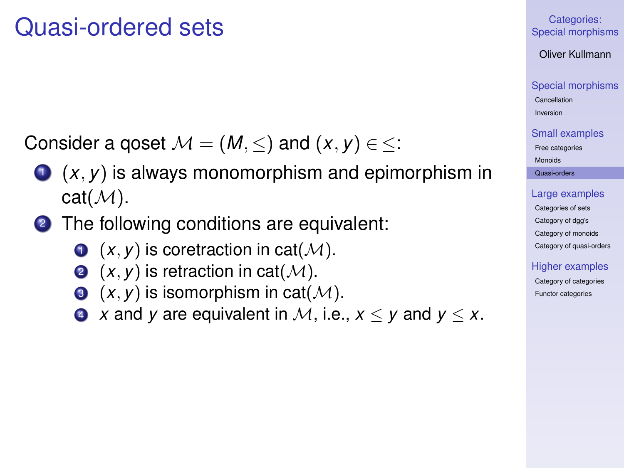### Quasi-ordered sets

Consider a goset  $M = (M, \leq)$  and  $(x, y) \in \leq$ :

- $(1)(x, y)$  is always monomorphism and epimorphism in  $cat(\mathcal{M})$ .
- <span id="page-9-0"></span><sup>2</sup> The following conditions are equivalent:
	- $\bullet$   $(x, y)$  is coretraction in cat $(M)$ .
	- **2**  $(x, y)$  is retraction in cat $(M)$ .
	- $\bullet$   $(x, y)$  is isomorphism in cat $(\mathcal{M})$ .
	- **4** *x* and *y* are equivalent in *M*, i.e.,  $x < y$  and  $y < x$ .

#### Categories: [Special morphisms](#page-0-0)

Oliver Kullmann

[Special morphisms](#page-3-0) [Cancellation](#page-3-0)

[Inversion](#page-5-0)

[Small examples](#page-7-0) [Free categories](#page-7-0)

[Monoids](#page-8-0)

[Quasi-orders](#page-9-0)

#### [Large examples](#page-10-0)

[Categories of sets](#page-10-0) [Category of dgg's](#page-12-0) [Category of monoids](#page-13-0) [Category of quasi-orders](#page-15-0)

#### [Higher examples](#page-16-0)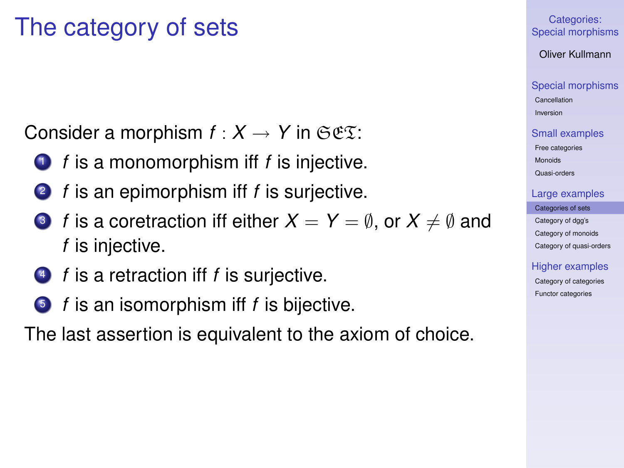### The category of sets

Consider a morphism  $f : X \to Y$  in  $\mathfrak{S} \mathfrak{E} \mathfrak{X}$ :

- **1** *f* is a monomorphism iff *f* is injective.
- <sup>2</sup> *f* is an epimorphism iff *f* is surjective.
- **3** *f* is a coretraction iff either  $X = Y = \emptyset$ , or  $X \neq \emptyset$  and *f* is injective.
- <sup>4</sup> *f* is a retraction iff *f* is surjective.
- <sup>5</sup> *f* is an isomorphism iff *f* is bijective.

<span id="page-10-0"></span>The last assertion is equivalent to the axiom of choice.

#### Categories: [Special morphisms](#page-0-0)

Oliver Kullmann

[Special morphisms](#page-3-0)

[Cancellation](#page-3-0) [Inversion](#page-5-0)

[Small examples](#page-7-0) [Free categories](#page-7-0)

[Monoids](#page-8-0) [Quasi-orders](#page-9-0)

[Large examples](#page-10-0)

[Categories of sets](#page-10-0) [Category of dgg's](#page-12-0) [Category of monoids](#page-13-0) [Category of quasi-orders](#page-15-0)

[Higher examples](#page-16-0)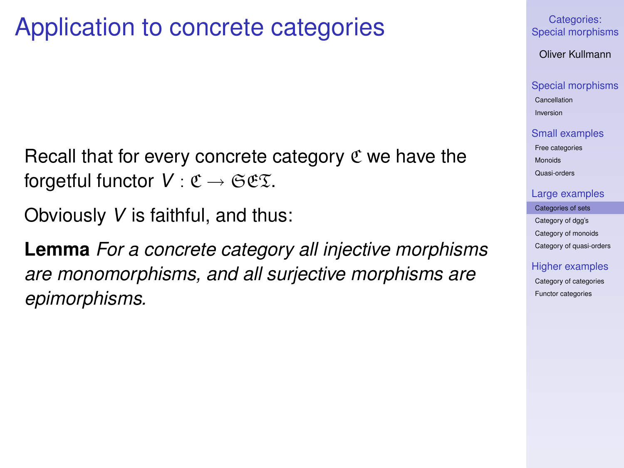### Application to concrete categories

Recall that for every concrete category  $\mathfrak C$  we have the forgetful functor  $V : \mathfrak{C} \to \mathfrak{S} \mathfrak{C} \mathfrak{T}$ .

Obviously *V* is faithful, and thus:

**Lemma** *For a concrete category all injective morphisms are monomorphisms, and all surjective morphisms are epimorphisms.*

Categories: [Special morphisms](#page-0-0)

Oliver Kullmann

[Special morphisms](#page-3-0)

[Cancellation](#page-3-0) [Inversion](#page-5-0)

[Small examples](#page-7-0)

[Free categories](#page-7-0) [Monoids](#page-8-0) [Quasi-orders](#page-9-0)

[Large examples](#page-10-0)

[Categories of sets](#page-10-0) [Category of dgg's](#page-12-0) [Category of monoids](#page-13-0) [Category of quasi-orders](#page-15-0)

[Higher examples](#page-16-0)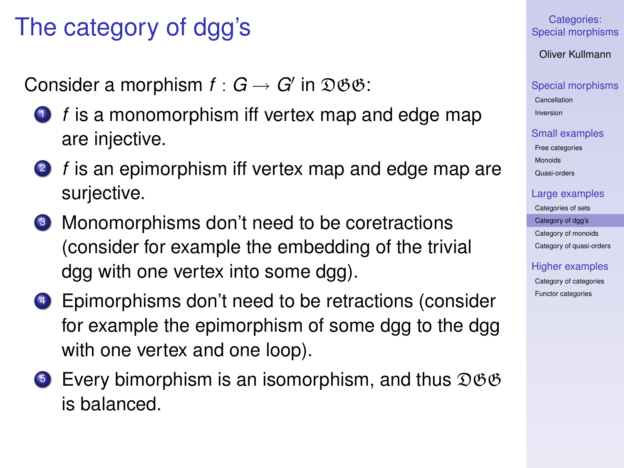# The category of dgg's

Consider a morphism  $f: G \rightarrow G'$  in  $\mathfrak{DSG}:$ 

- **1** *f* is a monomorphism iff vertex map and edge map are injective.
- <sup>2</sup> *f* is an epimorphism iff vertex map and edge map are surjective.
- <sup>3</sup> Monomorphisms don't need to be coretractions (consider for example the embedding of the trivial dgg with one vertex into some dgg).
- <sup>4</sup> Epimorphisms don't need to be retractions (consider for example the epimorphism of some dgg to the dgg with one vertex and one loop).
- <span id="page-12-0"></span>**5** Every bimorphism is an isomorphism, and thus  $\mathfrak{DSB}$ is balanced.

Categories: [Special morphisms](#page-0-0)

Oliver Kullmann

[Special morphisms](#page-3-0)

[Cancellation](#page-3-0) [Inversion](#page-5-0)

[Small examples](#page-7-0) [Free categories](#page-7-0)

[Monoids](#page-8-0) [Quasi-orders](#page-9-0)

[Large examples](#page-10-0)

[Categories of sets](#page-10-0) [Category of dgg's](#page-12-0) [Category of monoids](#page-13-0) [Category of quasi-orders](#page-15-0)

[Higher examples](#page-16-0) [Category of categories](#page-16-0)

[Functor categories](#page-18-0)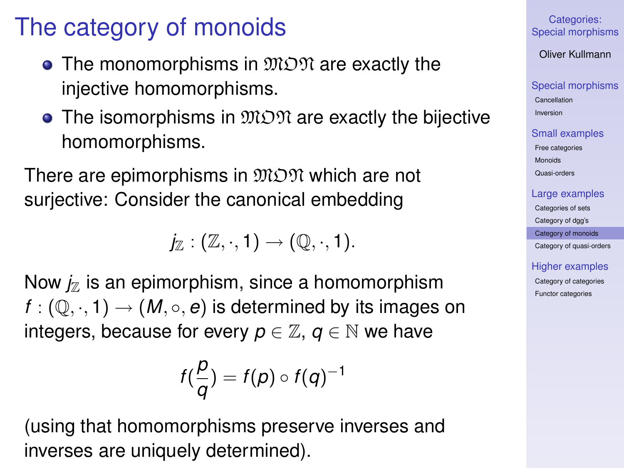# The category of monoids

- The monomorphisms in  $\mathfrak{M} \mathfrak{M}$  are exactly the injective homomorphisms.
- $\bullet$  The isomorphisms in  $\mathfrak{MON}$  are exactly the bijective homomorphisms.

There are epimorphisms in  $\mathfrak{M} \mathfrak{O} \mathfrak{N}$  which are not suriective: Consider the canonical embedding

 $j_{\mathbb{Z}} : (\mathbb{Z}, \cdot, 1) \rightarrow (\mathbb{Q}, \cdot, 1).$ 

Now  $j_z$  is an epimorphism, since a homomorphism  $f: (\mathbb{Q}, \cdot, 1) \rightarrow (M, \circ, e)$  is determined by its images on integers, because for every  $p \in \mathbb{Z}$ ,  $q \in \mathbb{N}$  we have

$$
f(\frac{p}{q})=f(p)\circ f(q)^{-1}
$$

<span id="page-13-0"></span>(using that homomorphisms preserve inverses and inverses are uniquely determined).

Categories: [Special morphisms](#page-0-0)

Oliver Kullmann

[Special morphisms](#page-3-0)

[Cancellation](#page-3-0) [Inversion](#page-5-0)

[Small examples](#page-7-0) [Free categories](#page-7-0) [Monoids](#page-8-0) [Quasi-orders](#page-9-0)

[Large examples](#page-10-0)

[Categories of sets](#page-10-0)

[Category of dgg's](#page-12-0)

[Category of monoids](#page-13-0) [Category of quasi-orders](#page-15-0)

[Higher examples](#page-16-0)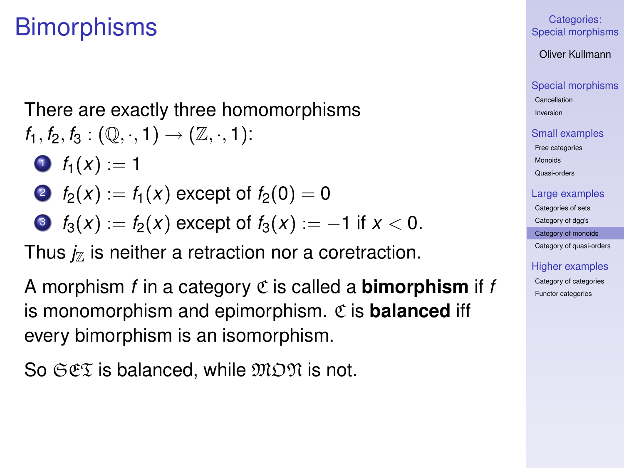### **Bimorphisms**

There are exactly three homomorphisms  $f_1, f_2, f_3 : (\mathbb{Q}, \cdot, 1) \to (\mathbb{Z}, \cdot, 1)$ :

- $\bullet$   $f_1(x) := 1$
- 2  $f_2(x) := f_1(x)$  except of  $f_2(0) = 0$
- 3  $f_3(x) := f_2(x)$  except of  $f_3(x) := -1$  if  $x < 0$ .

Thus  $j_{\mathbb{Z}}$  is neither a retraction nor a coretraction.

A morphism *f* in a category C is called a **bimorphism** if *f* is monomorphism and epimorphism. C is **balanced** iff every bimorphism is an isomorphism.

So  $\Im \mathfrak{C} \mathfrak{C}$  is balanced, while  $\mathfrak{M} \mathfrak{O} \mathfrak{N}$  is not.

Categories: [Special morphisms](#page-0-0)

Oliver Kullmann

[Special morphisms](#page-3-0)

[Cancellation](#page-3-0) [Inversion](#page-5-0)

[Small examples](#page-7-0)

[Free categories](#page-7-0) [Monoids](#page-8-0)

[Quasi-orders](#page-9-0)

#### [Large examples](#page-10-0)

[Categories of sets](#page-10-0)

[Category of dgg's](#page-12-0)

[Category of monoids](#page-13-0)

[Category of quasi-orders](#page-15-0)

[Higher examples](#page-16-0)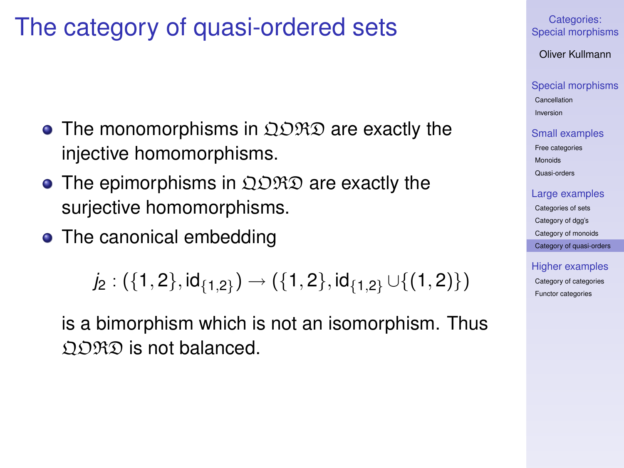### The category of quasi-ordered sets

- $\bullet$  The monomorphisms in  $\Omega$  $\mathfrak{DRD}$  are exactly the injective homomorphisms.
- The epimorphisms in  $\Omega$  $\mathfrak{R} \mathfrak{D}$  are exactly the surjective homomorphisms.
- The canonical embedding

$$
j_2: (\{1,2\},\mathsf{id}_{\{1,2\}}) \rightarrow (\{1,2\},\mathsf{id}_{\{1,2\}}\cup \{(1,2)\})
$$

<span id="page-15-0"></span>is a bimorphism which is not an isomorphism. Thus  $\Omega$  $\Omega$  $\Omega$  is not balanced.

Categories: [Special morphisms](#page-0-0)

Oliver Kullmann

[Special morphisms](#page-3-0)

[Cancellation](#page-3-0) [Inversion](#page-5-0)

[Small examples](#page-7-0)

[Free categories](#page-7-0) [Monoids](#page-8-0) [Quasi-orders](#page-9-0)

[Large examples](#page-10-0)

[Categories of sets](#page-10-0) [Category of dgg's](#page-12-0) [Category of monoids](#page-13-0) [Category of quasi-orders](#page-15-0)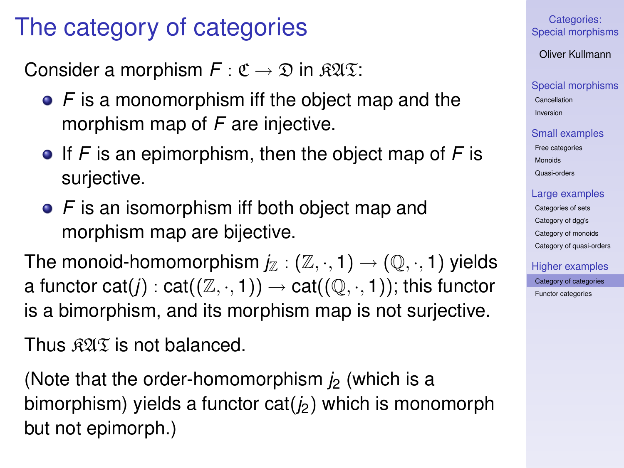### The category of categories

Consider a morphism  $F : \mathfrak{C} \to \mathfrak{D}$  in  $\mathfrak{KUR}$ :

- **•** F is a monomorphism iff the object map and the morphism map of *F* are injective.
- If *F* is an epimorphism, then the object map of *F* is surjective.
- F is an isomorphism iff both object map and morphism map are bijective.

The monoid-homomorphism  $j_{\mathbb{Z}} : (\mathbb{Z}, \cdot, 1) \to (\mathbb{Q}, \cdot, 1)$  yields a functor cat(*j*) : cat( $(\mathbb{Z}, \cdot, 1)$ )  $\rightarrow$  cat( $(\mathbb{Q}, \cdot, 1)$ ); this functor is a bimorphism, and its morphism map is not surjective.

Thus  $\Re 2 \Im$  is not balanced.

<span id="page-16-0"></span>(Note that the order-homomorphism  $\dot{p}$  (which is a bimorphism) yields a functor cat( $i<sub>2</sub>$ ) which is monomorph but not epimorph.)

Categories: [Special morphisms](#page-0-0)

Oliver Kullmann

[Special morphisms](#page-3-0)

[Cancellation](#page-3-0) [Inversion](#page-5-0)

[Small examples](#page-7-0)

[Free categories](#page-7-0) [Monoids](#page-8-0) [Quasi-orders](#page-9-0)

[Large examples](#page-10-0)

[Categories of sets](#page-10-0) [Category of dgg's](#page-12-0) [Category of monoids](#page-13-0) [Category of quasi-orders](#page-15-0)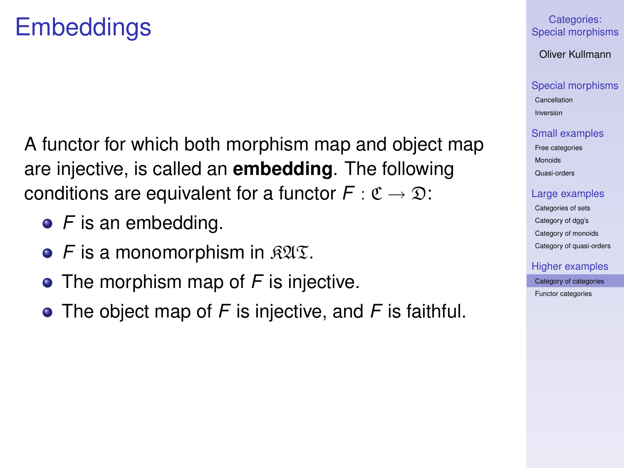### **Embeddings**

A functor for which both morphism map and object map are injective, is called an **embedding**. The following conditions are equivalent for a functor  $F : \mathfrak{C} \to \mathfrak{D}$ :

- **•** F is an embedding.
- $\bullet$  *F* is a monomorphism in  $\mathbb{R}\mathfrak{A}\mathfrak{T}$ .
- **•** The morphism map of *F* is injective.
- The object map of *F* is injective, and *F* is faithful.

#### Categories: [Special morphisms](#page-0-0)

Oliver Kullmann

#### [Special morphisms](#page-3-0)

[Cancellation](#page-3-0) [Inversion](#page-5-0)

#### [Small examples](#page-7-0)

[Free categories](#page-7-0) [Monoids](#page-8-0) [Quasi-orders](#page-9-0)

#### [Large examples](#page-10-0)

[Categories of sets](#page-10-0) [Category of dgg's](#page-12-0) [Category of monoids](#page-13-0) [Category of quasi-orders](#page-15-0)

### [Higher examples](#page-16-0)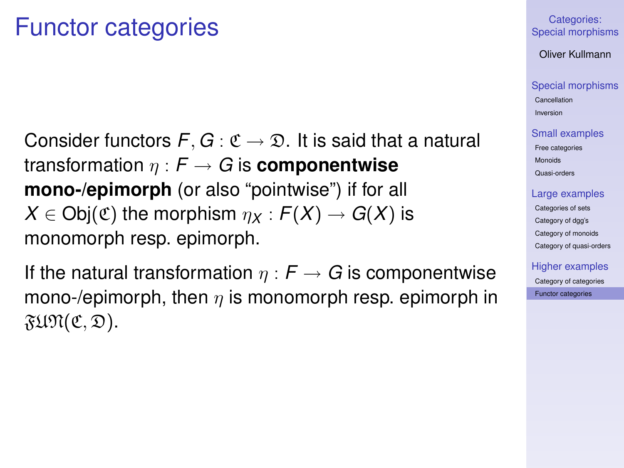### Functor categories

Consider functors  $F, G : \mathfrak{C} \to \mathfrak{D}$ . It is said that a natural transformation  $\eta$  :  $F \rightarrow G$  is **componentwise mono-/epimorph** (or also "pointwise") if for all  $X \in Ob(\mathfrak{C})$  the morphism  $\eta_X : F(X) \to G(X)$  is monomorph resp. epimorph.

<span id="page-18-0"></span>If the natural transformation  $\eta : F \to G$  is componentwise mono-/epimorph, then  $\eta$  is monomorph resp. epimorph in  $\mathfrak{FUPl}(\mathfrak{C},\mathfrak{D}).$ 

#### Categories: [Special morphisms](#page-0-0)

Oliver Kullmann

#### [Special morphisms](#page-3-0)

[Cancellation](#page-3-0) [Inversion](#page-5-0)

#### [Small examples](#page-7-0)

[Free categories](#page-7-0) [Monoids](#page-8-0) [Quasi-orders](#page-9-0)

#### [Large examples](#page-10-0)

[Categories of sets](#page-10-0) [Category of dgg's](#page-12-0) [Category of monoids](#page-13-0) [Category of quasi-orders](#page-15-0)